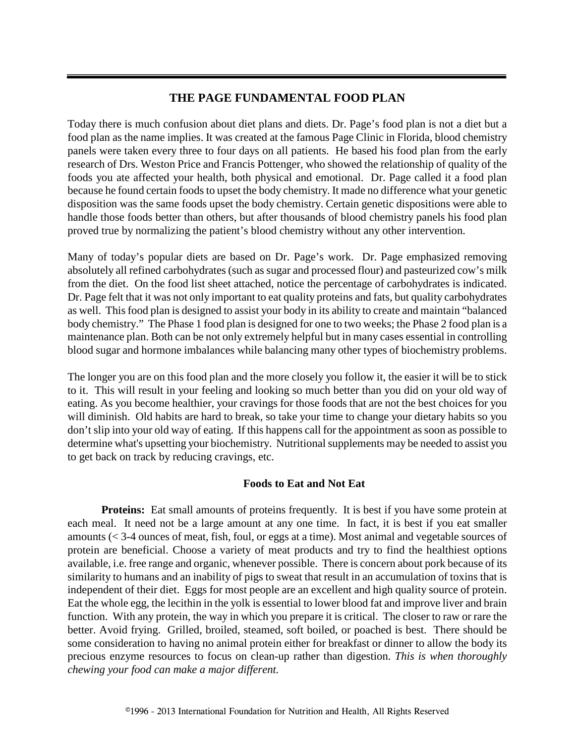## **THE PAGE FUNDAMENTAL FOOD PLAN**

Today there is much confusion about diet plans and diets. Dr. Page's food plan is not a diet but a food plan as the name implies. It was created at the famous Page Clinic in Florida, blood chemistry panels were taken every three to four days on all patients. He based his food plan from the early research of Drs. Weston Price and Francis Pottenger, who showed the relationship of quality of the foods you ate affected your health, both physical and emotional. Dr. Page called it a food plan because he found certain foods to upset the body chemistry. It made no difference what your genetic disposition was the same foods upset the body chemistry. Certain genetic dispositions were able to handle those foods better than others, but after thousands of blood chemistry panels his food plan proved true by normalizing the patient's blood chemistry without any other intervention.

Many of today's popular diets are based on Dr. Page's work. Dr. Page emphasized removing absolutely all refined carbohydrates (such as sugar and processed flour) and pasteurized cow's milk from the diet. On the food list sheet attached, notice the percentage of carbohydrates is indicated. Dr. Page felt that it was not only important to eat quality proteins and fats, but quality carbohydrates as well. This food plan is designed to assist your body in its ability to create and maintain "balanced body chemistry." The Phase 1 food plan is designed for one to two weeks; the Phase 2 food plan is a maintenance plan. Both can be not only extremely helpful but in many cases essential in controlling blood sugar and hormone imbalances while balancing many other types of biochemistry problems.

The longer you are on this food plan and the more closely you follow it, the easier it will be to stick to it. This will result in your feeling and looking so much better than you did on your old way of eating. As you become healthier, your cravings for those foods that are not the best choices for you will diminish. Old habits are hard to break, so take your time to change your dietary habits so you don't slip into your old way of eating. If this happens call for the appointment as soon as possible to determine what's upsetting your biochemistry. Nutritional supplements may be needed to assist you to get back on track by reducing cravings, etc.

### **Foods to Eat and Not Eat**

**Proteins:** Eat small amounts of proteins frequently. It is best if you have some protein at each meal. It need not be a large amount at any one time. In fact, it is best if you eat smaller amounts (< 3-4 ounces of meat, fish, foul, or eggs at a time). Most animal and vegetable sources of protein are beneficial. Choose a variety of meat products and try to find the healthiest options available, i.e. free range and organic, whenever possible. There is concern about pork because of its similarity to humans and an inability of pigs to sweat that result in an accumulation of toxins that is independent of their diet. Eggs for most people are an excellent and high quality source of protein. Eat the whole egg, the lecithin in the yolk is essential to lower blood fat and improve liver and brain function. With any protein, the way in which you prepare it is critical. The closer to raw or rare the better. Avoid frying. Grilled, broiled, steamed, soft boiled, or poached is best. There should be some consideration to having no animal protein either for breakfast or dinner to allow the body its precious enzyme resources to focus on clean-up rather than digestion. *This is when thoroughly chewing your food can make a major different.*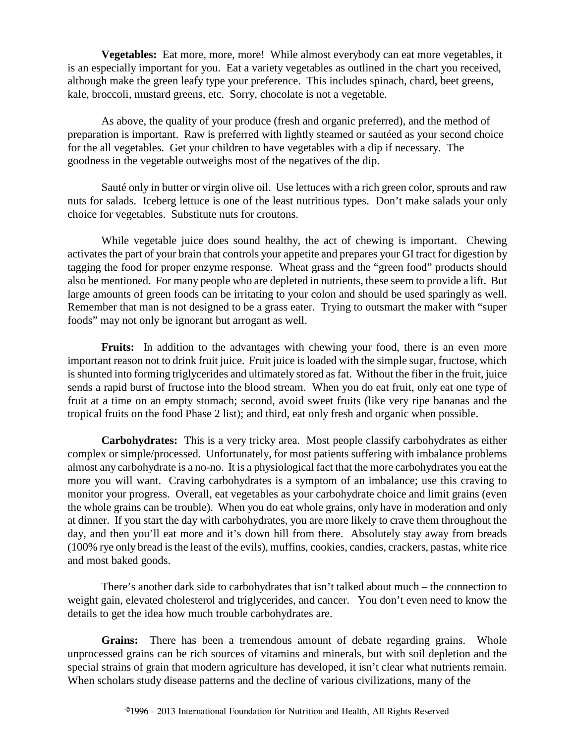**Vegetables:** Eat more, more, more! While almost everybody can eat more vegetables, it is an especially important for you. Eat a variety vegetables as outlined in the chart you received, although make the green leafy type your preference. This includes spinach, chard, beet greens, kale, broccoli, mustard greens, etc. Sorry, chocolate is not a vegetable.

As above, the quality of your produce (fresh and organic preferred), and the method of preparation is important. Raw is preferred with lightly steamed or sautéed as your second choice for the all vegetables. Get your children to have vegetables with a dip if necessary. The goodness in the vegetable outweighs most of the negatives of the dip.

Sauté only in butter or virgin olive oil. Use lettuces with a rich green color, sprouts and raw nuts for salads. Iceberg lettuce is one of the least nutritious types. Don't make salads your only choice for vegetables. Substitute nuts for croutons.

While vegetable juice does sound healthy, the act of chewing is important. Chewing activates the part of your brain that controls your appetite and prepares your GI tract for digestion by tagging the food for proper enzyme response. Wheat grass and the "green food" products should also be mentioned. For many people who are depleted in nutrients, these seem to provide a lift. But large amounts of green foods can be irritating to your colon and should be used sparingly as well. Remember that man is not designed to be a grass eater. Trying to outsmart the maker with "super foods" may not only be ignorant but arrogant as well.

**Fruits:** In addition to the advantages with chewing your food, there is an even more important reason not to drink fruit juice. Fruit juice is loaded with the simple sugar, fructose, which is shunted into forming triglycerides and ultimately stored as fat. Without the fiber in the fruit, juice sends a rapid burst of fructose into the blood stream. When you do eat fruit, only eat one type of fruit at a time on an empty stomach; second, avoid sweet fruits (like very ripe bananas and the tropical fruits on the food Phase 2 list); and third, eat only fresh and organic when possible.

**Carbohydrates:** This is a very tricky area. Most people classify carbohydrates as either complex or simple/processed. Unfortunately, for most patients suffering with imbalance problems almost any carbohydrate is a no-no. It is a physiological fact that the more carbohydrates you eat the more you will want. Craving carbohydrates is a symptom of an imbalance; use this craving to monitor your progress. Overall, eat vegetables as your carbohydrate choice and limit grains (even the whole grains can be trouble). When you do eat whole grains, only have in moderation and only at dinner. If you start the day with carbohydrates, you are more likely to crave them throughout the day, and then you'll eat more and it's down hill from there. Absolutely stay away from breads (100% rye only bread is the least of the evils), muffins, cookies, candies, crackers, pastas, white rice and most baked goods.

There's another dark side to carbohydrates that isn't talked about much – the connection to weight gain, elevated cholesterol and triglycerides, and cancer. You don't even need to know the details to get the idea how much trouble carbohydrates are.

**Grains:** There has been a tremendous amount of debate regarding grains. Whole unprocessed grains can be rich sources of vitamins and minerals, but with soil depletion and the special strains of grain that modern agriculture has developed, it isn't clear what nutrients remain. When scholars study disease patterns and the decline of various civilizations, many of the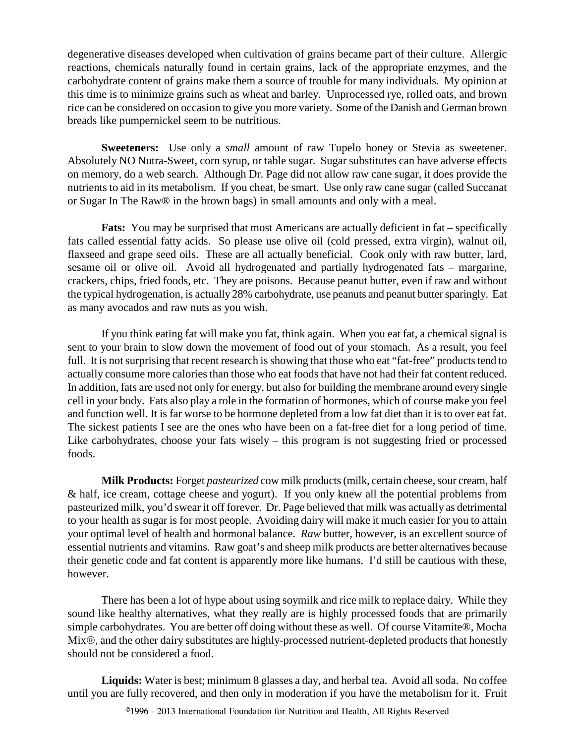degenerative diseases developed when cultivation of grains became part of their culture. Allergic reactions, chemicals naturally found in certain grains, lack of the appropriate enzymes, and the carbohydrate content of grains make them a source of trouble for many individuals. My opinion at this time is to minimize grains such as wheat and barley. Unprocessed rye, rolled oats, and brown rice can be considered on occasion to give you more variety. Some of the Danish and German brown breads like pumpernickel seem to be nutritious.

**Sweeteners:** Use only a *small* amount of raw Tupelo honey or Stevia as sweetener. Absolutely NO Nutra-Sweet, corn syrup, or table sugar. Sugar substitutes can have adverse effects on memory, do a web search. Although Dr. Page did not allow raw cane sugar, it does provide the nutrients to aid in its metabolism. If you cheat, be smart. Use only raw cane sugar (called Succanat or Sugar In The Raw® in the brown bags) in small amounts and only with a meal.

**Fats:** You may be surprised that most Americans are actually deficient in fat – specifically fats called essential fatty acids. So please use olive oil (cold pressed, extra virgin), walnut oil, flaxseed and grape seed oils. These are all actually beneficial. Cook only with raw butter, lard, sesame oil or olive oil. Avoid all hydrogenated and partially hydrogenated fats – margarine, crackers, chips, fried foods, etc. They are poisons. Because peanut butter, even if raw and without the typical hydrogenation, is actually 28% carbohydrate, use peanuts and peanut butter sparingly. Eat as many avocados and raw nuts as you wish.

If you think eating fat will make you fat, think again. When you eat fat, a chemical signal is sent to your brain to slow down the movement of food out of your stomach. As a result, you feel full. It is not surprising that recent research is showing that those who eat "fat-free" products tend to actually consume more calories than those who eat foods that have not had their fat content reduced. In addition, fats are used not only for energy, but also for building the membrane around every single cell in your body. Fats also play a role in the formation of hormones, which of course make you feel and function well. It is far worse to be hormone depleted from a low fat diet than it is to over eat fat. The sickest patients I see are the ones who have been on a fat-free diet for a long period of time. Like carbohydrates, choose your fats wisely – this program is not suggesting fried or processed foods.

**Milk Products:** Forget *pasteurized* cow milk products (milk, certain cheese, sour cream, half & half, ice cream, cottage cheese and yogurt). If you only knew all the potential problems from pasteurized milk, you'd swear it off forever. Dr. Page believed that milk was actually as detrimental to your health as sugar is for most people. Avoiding dairy will make it much easier for you to attain your optimal level of health and hormonal balance. *Raw* butter, however, is an excellent source of essential nutrients and vitamins. Raw goat's and sheep milk products are better alternatives because their genetic code and fat content is apparently more like humans. I'd still be cautious with these, however.

There has been a lot of hype about using soymilk and rice milk to replace dairy. While they sound like healthy alternatives, what they really are is highly processed foods that are primarily simple carbohydrates. You are better off doing without these as well. Of course Vitamite®, Mocha Mix®, and the other dairy substitutes are highly-processed nutrient-depleted products that honestly should not be considered a food.

**Liquids:** Water is best; minimum 8 glasses a day, and herbal tea. Avoid all soda. No coffee until you are fully recovered, and then only in moderation if you have the metabolism for it. Fruit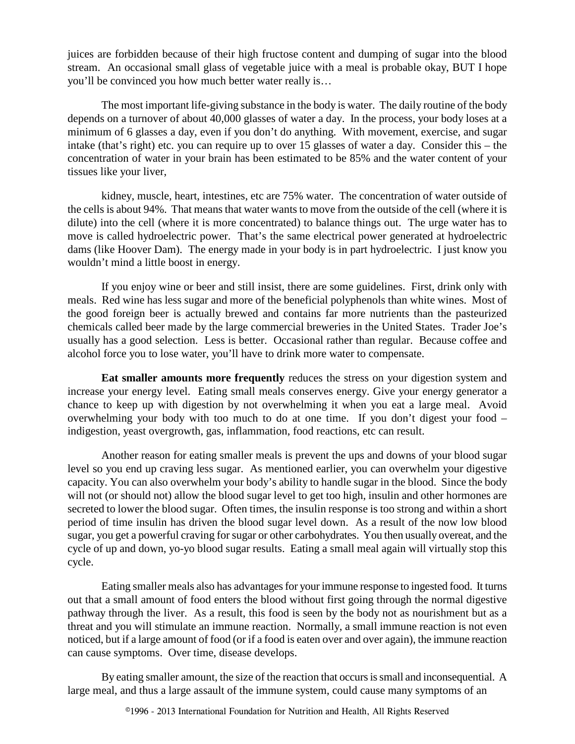juices are forbidden because of their high fructose content and dumping of sugar into the blood stream. An occasional small glass of vegetable juice with a meal is probable okay, BUT I hope you'll be convinced you how much better water really is…

The most important life-giving substance in the body is water. The daily routine of the body depends on a turnover of about 40,000 glasses of water a day. In the process, your body loses at a minimum of 6 glasses a day, even if you don't do anything. With movement, exercise, and sugar intake (that's right) etc. you can require up to over 15 glasses of water a day. Consider this – the concentration of water in your brain has been estimated to be 85% and the water content of your tissues like your liver,

kidney, muscle, heart, intestines, etc are 75% water. The concentration of water outside of the cells is about 94%. That means that water wants to move from the outside of the cell (where it is dilute) into the cell (where it is more concentrated) to balance things out. The urge water has to move is called hydroelectric power. That's the same electrical power generated at hydroelectric dams (like Hoover Dam). The energy made in your body is in part hydroelectric. I just know you wouldn't mind a little boost in energy.

If you enjoy wine or beer and still insist, there are some guidelines. First, drink only with meals. Red wine has less sugar and more of the beneficial polyphenols than white wines. Most of the good foreign beer is actually brewed and contains far more nutrients than the pasteurized chemicals called beer made by the large commercial breweries in the United States. Trader Joe's usually has a good selection. Less is better. Occasional rather than regular. Because coffee and alcohol force you to lose water, you'll have to drink more water to compensate.

**Eat smaller amounts more frequently** reduces the stress on your digestion system and increase your energy level. Eating small meals conserves energy. Give your energy generator a chance to keep up with digestion by not overwhelming it when you eat a large meal. Avoid overwhelming your body with too much to do at one time. If you don't digest your food – indigestion, yeast overgrowth, gas, inflammation, food reactions, etc can result.

Another reason for eating smaller meals is prevent the ups and downs of your blood sugar level so you end up craving less sugar. As mentioned earlier, you can overwhelm your digestive capacity. You can also overwhelm your body's ability to handle sugar in the blood. Since the body will not (or should not) allow the blood sugar level to get too high, insulin and other hormones are secreted to lower the blood sugar. Often times, the insulin response is too strong and within a short period of time insulin has driven the blood sugar level down. As a result of the now low blood sugar, you get a powerful craving for sugar or other carbohydrates. You then usually overeat, and the cycle of up and down, yo-yo blood sugar results. Eating a small meal again will virtually stop this cycle.

Eating smaller meals also has advantages for your immune response to ingested food. It turns out that a small amount of food enters the blood without first going through the normal digestive pathway through the liver. As a result, this food is seen by the body not as nourishment but as a threat and you will stimulate an immune reaction. Normally, a small immune reaction is not even noticed, but if a large amount of food (or if a food is eaten over and over again), the immune reaction can cause symptoms. Over time, disease develops.

By eating smaller amount, the size of the reaction that occurs is small and inconsequential. A large meal, and thus a large assault of the immune system, could cause many symptoms of an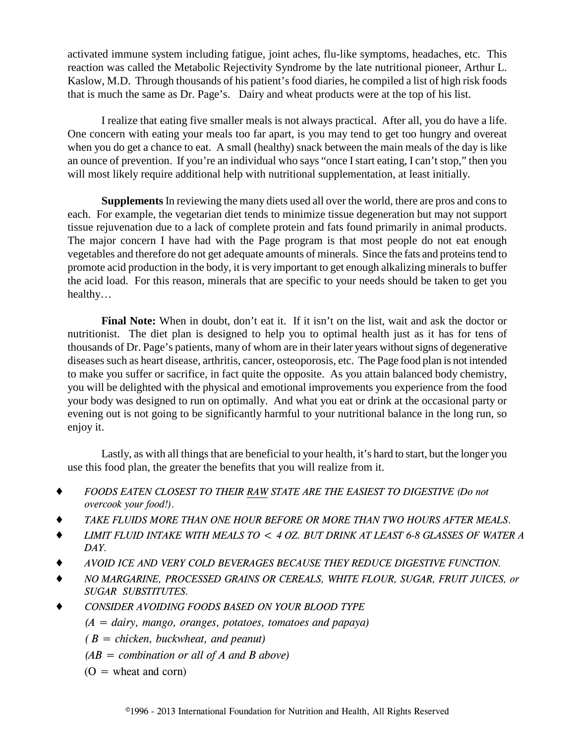activated immune system including fatigue, joint aches, flu-like symptoms, headaches, etc. This reaction was called the Metabolic Rejectivity Syndrome by the late nutritional pioneer, Arthur L. Kaslow, M.D. Through thousands of his patient's food diaries, he compiled a list of high risk foods that is much the same as Dr. Page's. Dairy and wheat products were at the top of his list.

I realize that eating five smaller meals is not always practical. After all, you do have a life. One concern with eating your meals too far apart, is you may tend to get too hungry and overeat when you do get a chance to eat. A small (healthy) snack between the main meals of the day is like an ounce of prevention. If you're an individual who says "once I start eating, I can't stop," then you will most likely require additional help with nutritional supplementation, at least initially.

**Supplements** In reviewing the many diets used all over the world, there are pros and cons to each. For example, the vegetarian diet tends to minimize tissue degeneration but may not support tissue rejuvenation due to a lack of complete protein and fats found primarily in animal products. The major concern I have had with the Page program is that most people do not eat enough vegetables and therefore do not get adequate amounts of minerals. Since the fats and proteins tend to promote acid production in the body, it is very important to get enough alkalizing minerals to buffer the acid load. For this reason, minerals that are specific to your needs should be taken to get you healthy…

**Final Note:** When in doubt, don't eat it. If it isn't on the list, wait and ask the doctor or nutritionist. The diet plan is designed to help you to optimal health just as it has for tens of thousands of Dr. Page's patients, many of whom are in their later years without signs of degenerative diseases such as heart disease, arthritis, cancer, osteoporosis, etc. The Page food plan is not intended to make you suffer or sacrifice, in fact quite the opposite. As you attain balanced body chemistry, you will be delighted with the physical and emotional improvements you experience from the food your body was designed to run on optimally. And what you eat or drink at the occasional party or evening out is not going to be significantly harmful to your nutritional balance in the long run, so enjoy it.

Lastly, as with all things that are beneficial to your health, it's hard to start, but the longer you use this food plan, the greater the benefits that you will realize from it.

- ♦ *FOODS EATEN CLOSEST TO THEIR RAW STATE ARE THE EASIEST TO DIGESTIVE (Do not overcook your food!)*.
- ♦ *TAKE FLUIDS MORE THAN ONE HOUR BEFORE OR MORE THAN TWO HOURS AFTER MEALS*.
- ♦ *LIMIT FLUID INTAKE WITH MEALS TO* < *4 OZ. BUT DRINK AT LEAST 6-8 GLASSES OF WATER A DAY.*
- ♦ *AVOID ICE AND VERY COLD BEVERAGES BECAUSE THEY REDUCE DIGESTIVE FUNCTION.*
- ♦ *NO MARGARINE, PROCESSED GRAINS OR CEREALS, WHITE FLOUR, SUGAR, FRUIT JUICES, or SUGAR SUBSTITUTES.*
- ♦ *CONSIDER AVOIDING FOODS BASED ON YOUR BLOOD TYPE* 
	- *(A = dairy, mango, oranges, potatoes, tomatoes and papaya)*
	- *( B = chicken, buckwheat, and peanut)*
	- *(AB = combination or all of A and B above)*
	- $(O =$  wheat and corn)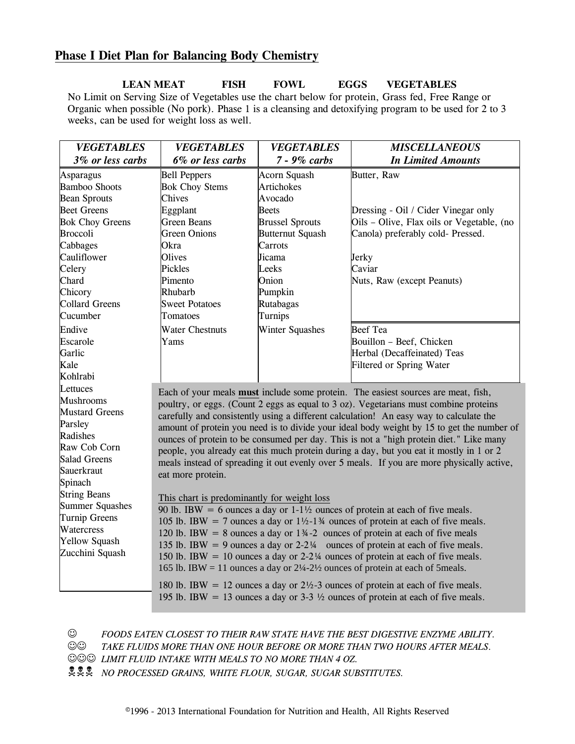### **Phase I Diet Plan for Balancing Body Chemistry**

#### **LEAN MEAT FISH FOWL EGGS VEGETABLES**

No Limit on Serving Size of Vegetables use the chart below for protein, Grass fed, Free Range or Organic when possible (No pork). Phase 1 is a cleansing and detoxifying program to be used for 2 to 3 weeks, can be used for weight loss as well.

| <b>VEGETABLES</b>      | <b>VEGETABLES</b>                                                                                                                       | <b>VEGETABLES</b>       | <b>MISCELLANEOUS</b>                                                                                 |  |
|------------------------|-----------------------------------------------------------------------------------------------------------------------------------------|-------------------------|------------------------------------------------------------------------------------------------------|--|
| 3% or less carbs       | 6% or less carbs                                                                                                                        | $7 - 9\%$ carbs         | <b>In Limited Amounts</b>                                                                            |  |
| <b>Asparagus</b>       | <b>Bell Peppers</b>                                                                                                                     | <b>Acorn Squash</b>     | Butter, Raw                                                                                          |  |
| <b>Bamboo Shoots</b>   | <b>Bok Choy Stems</b>                                                                                                                   | <b>Artichokes</b>       |                                                                                                      |  |
| <b>Bean Sprouts</b>    | Chives                                                                                                                                  | Avocado                 |                                                                                                      |  |
| <b>Beet Greens</b>     | Eggplant                                                                                                                                | <b>Beets</b>            | Dressing - Oil / Cider Vinegar only                                                                  |  |
| <b>Bok Choy Greens</b> | <b>Green Beans</b>                                                                                                                      | <b>Brussel Sprouts</b>  | Oils - Olive, Flax oils or Vegetable, (no                                                            |  |
| <b>Broccoli</b>        | <b>Green Onions</b>                                                                                                                     | <b>Butternut Squash</b> | Canola) preferably cold- Pressed.                                                                    |  |
| Cabbages               | Okra                                                                                                                                    | Carrots                 |                                                                                                      |  |
| Cauliflower            | Olives                                                                                                                                  | Jicama                  | Jerky                                                                                                |  |
| Celery                 | Pickles                                                                                                                                 | Leeks                   | Caviar                                                                                               |  |
| Chard                  | Pimento                                                                                                                                 | Onion                   | Nuts, Raw (except Peanuts)                                                                           |  |
| Chicory                | Rhubarb                                                                                                                                 | Pumpkin                 |                                                                                                      |  |
| <b>Collard Greens</b>  | <b>Sweet Potatoes</b>                                                                                                                   | Rutabagas               |                                                                                                      |  |
| Cucumber               | Tomatoes                                                                                                                                | Turnips                 |                                                                                                      |  |
| Endive                 | <b>Water Chestnuts</b>                                                                                                                  | <b>Winter Squashes</b>  | <b>Beef Tea</b>                                                                                      |  |
| Escarole               | Yams                                                                                                                                    |                         | Bouillon - Beef, Chicken                                                                             |  |
| Garlic                 |                                                                                                                                         |                         | Herbal (Decaffeinated) Teas                                                                          |  |
| Kale                   |                                                                                                                                         |                         | Filtered or Spring Water                                                                             |  |
| Kohlrabi               |                                                                                                                                         |                         |                                                                                                      |  |
| Lettuces               |                                                                                                                                         |                         | Each of your meals must include some protein. The easiest sources are meat, fish,                    |  |
| Mushrooms              |                                                                                                                                         |                         | poultry, or eggs. (Count 2 eggs as equal to 3 oz). Vegetarians must combine proteins                 |  |
| <b>Mustard Greens</b>  |                                                                                                                                         |                         | carefully and consistently using a different calculation! An easy way to calculate the               |  |
| Parsley                |                                                                                                                                         |                         | amount of protein you need is to divide your ideal body weight by 15 to get the number of            |  |
| Radishes               |                                                                                                                                         |                         | ounces of protein to be consumed per day. This is not a "high protein diet." Like many               |  |
| Raw Cob Corn           |                                                                                                                                         |                         | people, you already eat this much protein during a day, but you eat it mostly in 1 or 2              |  |
| Salad Greens           |                                                                                                                                         |                         | meals instead of spreading it out evenly over 5 meals. If you are more physically active,            |  |
| Sauerkraut             | eat more protein.                                                                                                                       |                         |                                                                                                      |  |
| Spinach                |                                                                                                                                         |                         |                                                                                                      |  |
| <b>String Beans</b>    |                                                                                                                                         |                         |                                                                                                      |  |
| <b>Summer Squashes</b> | This chart is predominantly for weight loss<br>90 lb. IBW = 6 ounces a day or $1-1\frac{1}{2}$ ounces of protein at each of five meals. |                         |                                                                                                      |  |
| <b>Turnip Greens</b>   | 105 lb. IBW = 7 ounces a day or $1\frac{1}{2}$ -1 <sup>3</sup> / <sub>4</sub> ounces of protein at each of five meals.                  |                         |                                                                                                      |  |
| Watercress             | 120 lb. IBW = 8 ounces a day or $1\frac{3}{4}$ -2 ounces of protein at each of five meals                                               |                         |                                                                                                      |  |
| <b>Yellow Squash</b>   | 135 lb. IBW = 9 ounces a day or $2-2\frac{1}{4}$ ounces of protein at each of five meals.                                               |                         |                                                                                                      |  |
| Zucchini Squash        |                                                                                                                                         |                         | 150 lb. IBW = 10 ounces a day or $2-2\frac{1}{4}$ ounces of protein at each of five meals.           |  |
|                        |                                                                                                                                         |                         | 165 lb. IBW = 11 ounces a day or $2\frac{1}{4} - 2\frac{1}{2}$ ounces of protein at each of 5 meals. |  |
|                        |                                                                                                                                         |                         | 180 lb. IBW = 12 ounces a day or $2\frac{1}{2}$ -3 ounces of protein at each of five meals.          |  |
|                        |                                                                                                                                         |                         | 195 lb. IBW = 13 ounces a day or 3-3 $\frac{1}{2}$ ounces of protein at each of five meals.          |  |
|                        |                                                                                                                                         |                         |                                                                                                      |  |

☺ *FOODS EATEN CLOSEST TO THEIR RAW STATE HAVE THE BEST DIGESTIVE ENZYME ABILITY*. ☺☺ *TAKE FLUIDS MORE THAN ONE HOUR BEFORE OR MORE THAN TWO HOURS AFTER MEALS*. ☺☺☺ *LIMIT FLUID INTAKE WITH MEALS TO NO MORE THAN 4 OZ.* 

**222** NO PROCESSED GRAINS, WHITE FLOUR, SUGAR, SUGAR SUBSTITUTES.